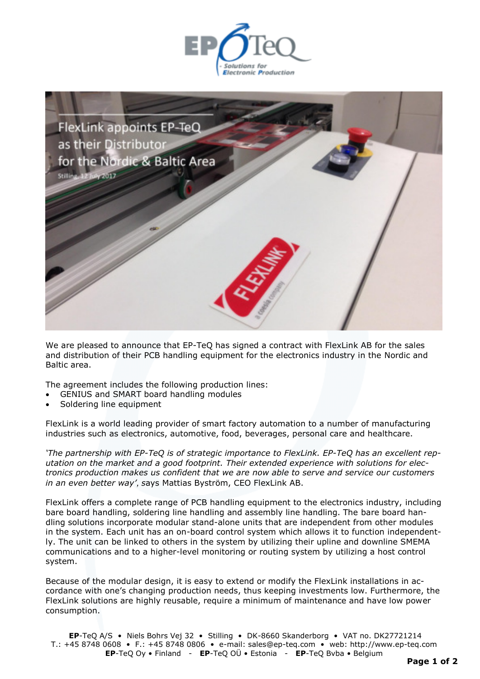



We are pleased to announce that EP-TeQ has signed a contract with FlexLink AB for the sales and distribution of their PCB handling equipment for the electronics industry in the Nordic and Baltic area.

The agreement includes the following production lines:

- GENIUS and SMART board handling modules
- Soldering line equipment

FlexLink is a world leading provider of smart factory automation to a number of manufacturing industries such as electronics, automotive, food, beverages, personal care and healthcare.

*'The partnership with EP-TeQ is of strategic importance to FlexLink. EP-TeQ has an excellent reputation on the market and a good footprint. Their extended experience with solutions for electronics production makes us confident that we are now able to serve and service our customers in an even better way'*, *s*ays Mattias Byström, CEO FlexLink AB.

FlexLink offers a complete range of PCB handling equipment to the electronics industry, including bare board handling, soldering line handling and assembly line handling. The bare board handling solutions incorporate modular stand-alone units that are independent from other modules in the system. Each unit has an on-board control system which allows it to function independently. The unit can be linked to others in the system by utilizing their upline and downline SMEMA communications and to a higher-level monitoring or routing system by utilizing a host control system.

Because of the modular design, it is easy to extend or modify the FlexLink installations in accordance with one's changing production needs, thus keeping investments low. Furthermore, the FlexLink solutions are highly reusable, require a minimum of maintenance and have low power consumption.